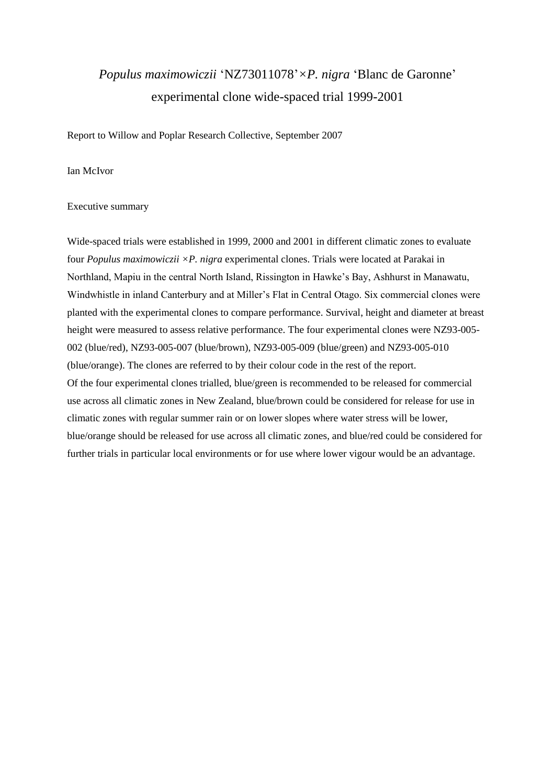# *Populus maximowiczii* 'NZ73011078'*×P. nigra* 'Blanc de Garonne' experimental clone wide-spaced trial 1999-2001

Report to Willow and Poplar Research Collective, September 2007

## Ian McIvor

#### Executive summary

Wide-spaced trials were established in 1999, 2000 and 2001 in different climatic zones to evaluate four *Populus maximowiczii ×P. nigra* experimental clones. Trials were located at Parakai in Northland, Mapiu in the central North Island, Rissington in Hawke's Bay, Ashhurst in Manawatu, Windwhistle in inland Canterbury and at Miller's Flat in Central Otago. Six commercial clones were planted with the experimental clones to compare performance. Survival, height and diameter at breast height were measured to assess relative performance. The four experimental clones were NZ93-005- 002 (blue/red), NZ93-005-007 (blue/brown), NZ93-005-009 (blue/green) and NZ93-005-010 (blue/orange). The clones are referred to by their colour code in the rest of the report. Of the four experimental clones trialled, blue/green is recommended to be released for commercial use across all climatic zones in New Zealand, blue/brown could be considered for release for use in climatic zones with regular summer rain or on lower slopes where water stress will be lower, blue/orange should be released for use across all climatic zones, and blue/red could be considered for further trials in particular local environments or for use where lower vigour would be an advantage.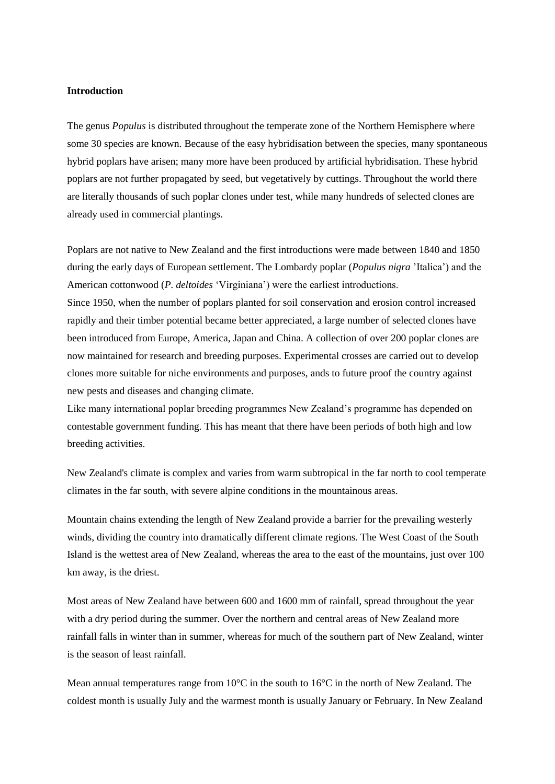## **Introduction**

The genus *Populus* is distributed throughout the temperate zone of the Northern Hemisphere where some 30 species are known. Because of the easy hybridisation between the species, many spontaneous hybrid poplars have arisen; many more have been produced by artificial hybridisation. These hybrid poplars are not further propagated by seed, but vegetatively by cuttings. Throughout the world there are literally thousands of such poplar clones under test, while many hundreds of selected clones are already used in commercial plantings.

Poplars are not native to New Zealand and the first introductions were made between 1840 and 1850 during the early days of European settlement. The Lombardy poplar (*Populus nigra* 'Italica') and the American cottonwood (*P. deltoides* 'Virginiana') were the earliest introductions.

Since 1950, when the number of poplars planted for soil conservation and erosion control increased rapidly and their timber potential became better appreciated, a large number of selected clones have been introduced from Europe, America, Japan and China. A collection of over 200 poplar clones are now maintained for research and breeding purposes. Experimental crosses are carried out to develop clones more suitable for niche environments and purposes, ands to future proof the country against new pests and diseases and changing climate.

Like many international poplar breeding programmes New Zealand's programme has depended on contestable government funding. This has meant that there have been periods of both high and low breeding activities.

New Zealand's climate is complex and varies from warm subtropical in the far north to cool temperate climates in the far south, with severe alpine conditions in the mountainous areas.

Mountain chains extending the length of New Zealand provide a barrier for the prevailing westerly winds, dividing the country into dramatically different climate regions. The West Coast of the South Island is the wettest area of New Zealand, whereas the area to the east of the mountains, just over 100 km away, is the driest.

Most areas of New Zealand have between 600 and 1600 mm of rainfall, spread throughout the year with a dry period during the summer. Over the northern and central areas of New Zealand more rainfall falls in winter than in summer, whereas for much of the southern part of New Zealand, winter is the season of least rainfall.

Mean annual temperatures range from 10°C in the south to 16°C in the north of New Zealand. The coldest month is usually July and the warmest month is usually January or February. In New Zealand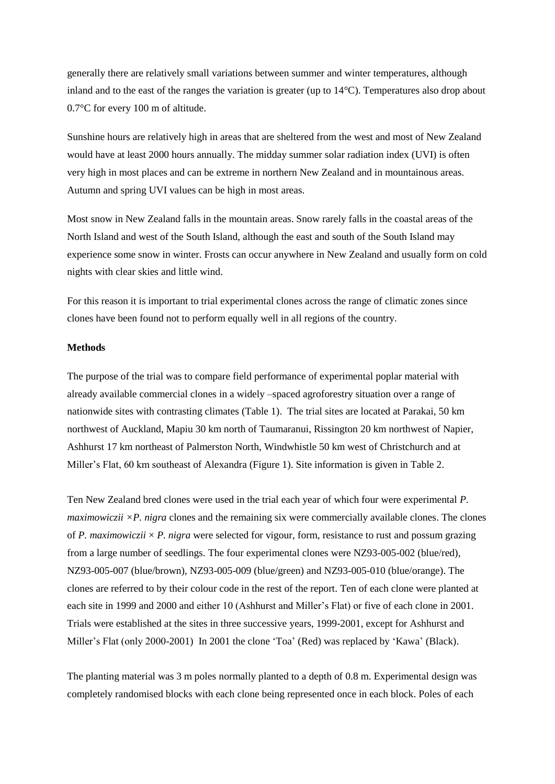generally there are relatively small variations between summer and winter temperatures, although inland and to the east of the ranges the variation is greater (up to 14°C). Temperatures also drop about 0.7°C for every 100 m of altitude.

Sunshine hours are relatively high in areas that are sheltered from the west and most of New Zealand would have at least 2000 hours annually. The midday summer solar radiation index (UVI) is often very high in most places and can be extreme in northern New Zealand and in mountainous areas. Autumn and spring UVI values can be high in most areas.

Most snow in New Zealand falls in the mountain areas. Snow rarely falls in the coastal areas of the North Island and west of the South Island, although the east and south of the South Island may experience some snow in winter. Frosts can occur anywhere in New Zealand and usually form on cold nights with clear skies and little wind.

For this reason it is important to trial experimental clones across the range of climatic zones since clones have been found not to perform equally well in all regions of the country.

#### **Methods**

The purpose of the trial was to compare field performance of experimental poplar material with already available commercial clones in a widely –spaced agroforestry situation over a range of nationwide sites with contrasting climates (Table 1). The trial sites are located at Parakai, 50 km northwest of Auckland, Mapiu 30 km north of Taumaranui, Rissington 20 km northwest of Napier, Ashhurst 17 km northeast of Palmerston North, Windwhistle 50 km west of Christchurch and at Miller's Flat, 60 km southeast of Alexandra (Figure 1). Site information is given in Table 2.

Ten New Zealand bred clones were used in the trial each year of which four were experimental *P. maximowiczii*  $\times$ *P. nigra* clones and the remaining six were commercially available clones. The clones of *P. maximowiczii*  $\times$  *P. nigra* were selected for vigour, form, resistance to rust and possum grazing from a large number of seedlings. The four experimental clones were NZ93-005-002 (blue/red), NZ93-005-007 (blue/brown), NZ93-005-009 (blue/green) and NZ93-005-010 (blue/orange). The clones are referred to by their colour code in the rest of the report. Ten of each clone were planted at each site in 1999 and 2000 and either 10 (Ashhurst and Miller's Flat) or five of each clone in 2001. Trials were established at the sites in three successive years, 1999-2001, except for Ashhurst and Miller's Flat (only 2000-2001) In 2001 the clone 'Toa' (Red) was replaced by 'Kawa' (Black).

The planting material was 3 m poles normally planted to a depth of 0.8 m. Experimental design was completely randomised blocks with each clone being represented once in each block. Poles of each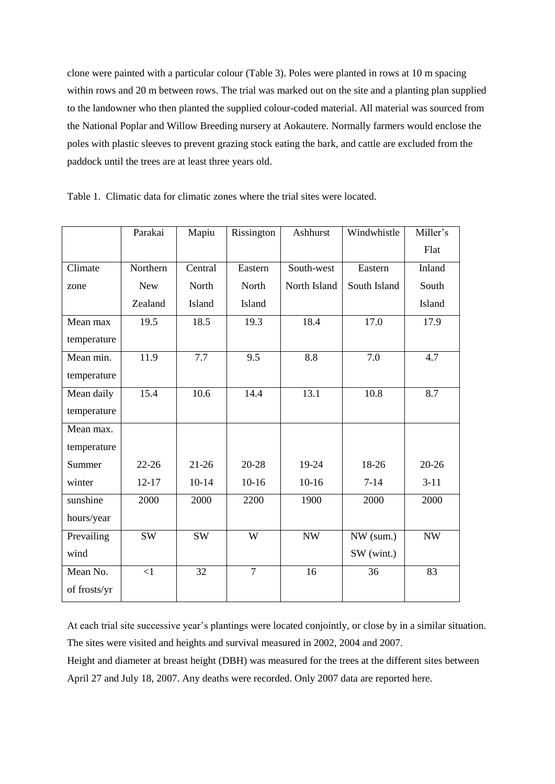clone were painted with a particular colour (Table 3). Poles were planted in rows at 10 m spacing within rows and 20 m between rows. The trial was marked out on the site and a planting plan supplied to the landowner who then planted the supplied colour-coded material. All material was sourced from the National Poplar and Willow Breeding nursery at Aokautere. Normally farmers would enclose the poles with plastic sleeves to prevent grazing stock eating the bark, and cattle are excluded from the paddock until the trees are at least three years old.

|              | Parakai    | Mapiu     | Rissington     | Ashhurst     | Windwhistle  | Miller's                 |
|--------------|------------|-----------|----------------|--------------|--------------|--------------------------|
|              |            |           |                |              |              | Flat                     |
| Climate      | Northern   | Central   | Eastern        | South-west   | Eastern      | Inland                   |
| zone         | <b>New</b> | North     | North          | North Island | South Island | South                    |
|              | Zealand    | Island    | Island         |              |              | Island                   |
| Mean max     | 19.5       | 18.5      | 19.3           | 18.4         | 17.0         | 17.9                     |
| temperature  |            |           |                |              |              |                          |
| Mean min.    | 11.9       | 7.7       | 9.5            | 8.8          | 7.0          | 4.7                      |
| temperature  |            |           |                |              |              |                          |
| Mean daily   | 15.4       | 10.6      | 14.4           | 13.1         | 10.8         | 8.7                      |
| temperature  |            |           |                |              |              |                          |
| Mean max.    |            |           |                |              |              |                          |
| temperature  |            |           |                |              |              |                          |
| Summer       | $22 - 26$  | $21-26$   | $20 - 28$      | 19-24        | 18-26        | $20 - 26$                |
| winter       | $12 - 17$  | $10 - 14$ | $10-16$        | $10-16$      | $7-14$       | $3 - 11$                 |
| sunshine     | 2000       | 2000      | 2200           | 1900         | 2000         | 2000                     |
| hours/year   |            |           |                |              |              |                          |
| Prevailing   | SW         | <b>SW</b> | W              | <b>NW</b>    | NW (sum.)    | $\ensuremath{\text{NW}}$ |
| wind         |            |           |                |              | SW (wint.)   |                          |
| Mean No.     | $\leq$ 1   | 32        | $\overline{7}$ | 16           | 36           | 83                       |
| of frosts/yr |            |           |                |              |              |                          |

Table 1. Climatic data for climatic zones where the trial sites were located.

At each trial site successive year's plantings were located conjointly, or close by in a similar situation. The sites were visited and heights and survival measured in 2002, 2004 and 2007.

Height and diameter at breast height (DBH) was measured for the trees at the different sites between April 27 and July 18, 2007. Any deaths were recorded. Only 2007 data are reported here.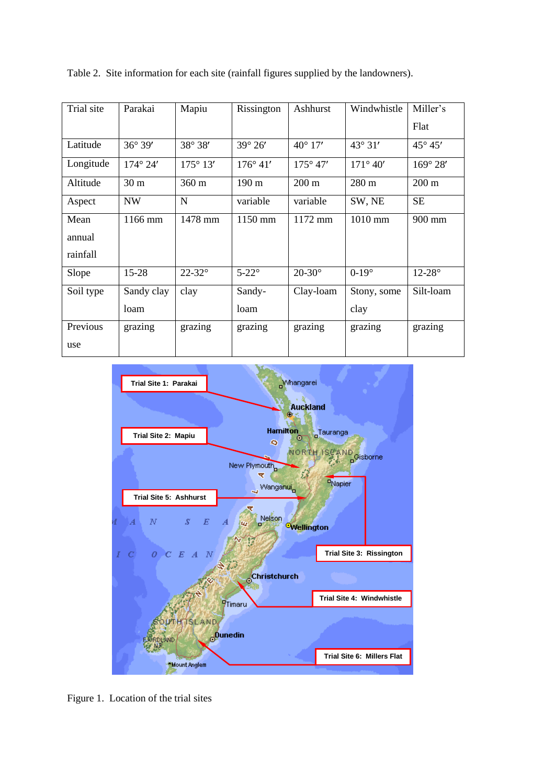| Trial site | Parakai           | Mapiu             | Rissington        | Ashhurst          | Windwhistle       | Miller's          |
|------------|-------------------|-------------------|-------------------|-------------------|-------------------|-------------------|
|            |                   |                   |                   |                   |                   | Flat              |
| Latitude   | $36^{\circ} 39'$  | 38° 38'           | $39^\circ 26'$    | $40^{\circ} 17'$  | $43^{\circ}31'$   | $45^{\circ} 45'$  |
| Longitude  | $174^{\circ} 24'$ | $175^{\circ} 13'$ | $176^{\circ} 41'$ | $175^{\circ} 47'$ | $171^{\circ} 40'$ | $169^{\circ} 28'$ |
| Altitude   | 30 <sub>m</sub>   | $360 \text{ m}$   | 190 m             | $200 \text{ m}$   | 280 m             | $200 \text{ m}$   |
| Aspect     | <b>NW</b>         | N                 | variable          | variable          | SW, NE            | <b>SE</b>         |
| Mean       | 1166 mm           | 1478 mm           | 1150 mm           | 1172 mm           | 1010 mm           | 900 mm            |
| annual     |                   |                   |                   |                   |                   |                   |
| rainfall   |                   |                   |                   |                   |                   |                   |
| Slope      | $15 - 28$         | $22 - 32^{\circ}$ | $5-22^\circ$      | $20 - 30^{\circ}$ | $0-19^\circ$      | $12-28^\circ$     |
| Soil type  | Sandy clay        | clay              | Sandy-            | Clay-loam         | Stony, some       | Silt-loam         |
|            | loam              |                   | loam              |                   | clay              |                   |
| Previous   | grazing           | grazing           | grazing           | grazing           | grazing           | grazing           |
| use        |                   |                   |                   |                   |                   |                   |

Table 2. Site information for each site (rainfall figures supplied by the landowners).



Figure 1. Location of the trial sites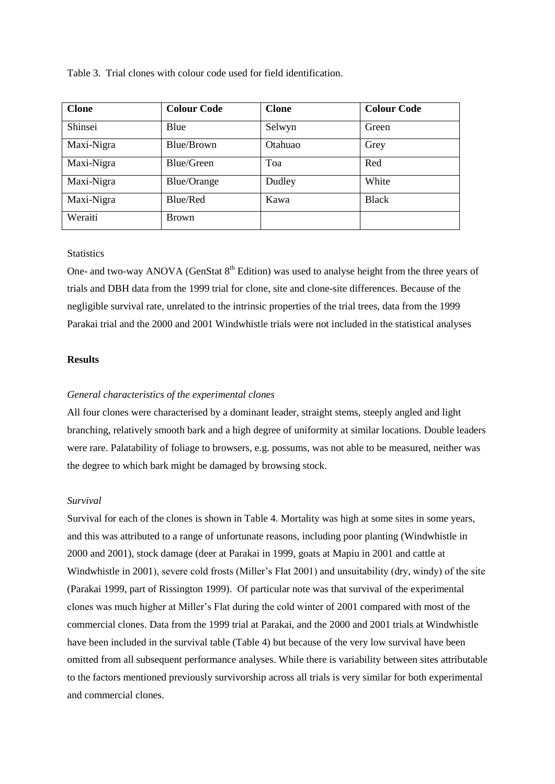|  |  | Table 3. Trial clones with colour code used for field identification. |  |
|--|--|-----------------------------------------------------------------------|--|
|  |  |                                                                       |  |

| <b>Clone</b> | <b>Colour Code</b> | <b>Clone</b> | <b>Colour Code</b> |
|--------------|--------------------|--------------|--------------------|
| Shinsei      | Blue               | Selwyn       | Green              |
| Maxi-Nigra   | Blue/Brown         | Otahuao      | Grey               |
| Maxi-Nigra   | Blue/Green         | Toa          | Red                |
| Maxi-Nigra   | Blue/Orange        | Dudley       | White              |
| Maxi-Nigra   | Blue/Red           | Kawa         | <b>Black</b>       |
| Weraiti      | <b>Brown</b>       |              |                    |

## **Statistics**

One- and two-way ANOVA (GenStat 8<sup>th</sup> Edition) was used to analyse height from the three years of trials and DBH data from the 1999 trial for clone, site and clone-site differences. Because of the negligible survival rate, unrelated to the intrinsic properties of the trial trees, data from the 1999 Parakai trial and the 2000 and 2001 Windwhistle trials were not included in the statistical analyses

# **Results**

## *General characteristics of the experimental clones*

All four clones were characterised by a dominant leader, straight stems, steeply angled and light branching, relatively smooth bark and a high degree of uniformity at similar locations. Double leaders were rare. Palatability of foliage to browsers, e.g. possums, was not able to be measured, neither was the degree to which bark might be damaged by browsing stock.

#### *Survival*

Survival for each of the clones is shown in Table 4. Mortality was high at some sites in some years, and this was attributed to a range of unfortunate reasons, including poor planting (Windwhistle in 2000 and 2001), stock damage (deer at Parakai in 1999, goats at Mapiu in 2001 and cattle at Windwhistle in 2001), severe cold frosts (Miller's Flat 2001) and unsuitability (dry, windy) of the site (Parakai 1999, part of Rissington 1999). Of particular note was that survival of the experimental clones was much higher at Miller's Flat during the cold winter of 2001 compared with most of the commercial clones. Data from the 1999 trial at Parakai, and the 2000 and 2001 trials at Windwhistle have been included in the survival table (Table 4) but because of the very low survival have been omitted from all subsequent performance analyses. While there is variability between sites attributable to the factors mentioned previously survivorship across all trials is very similar for both experimental and commercial clones.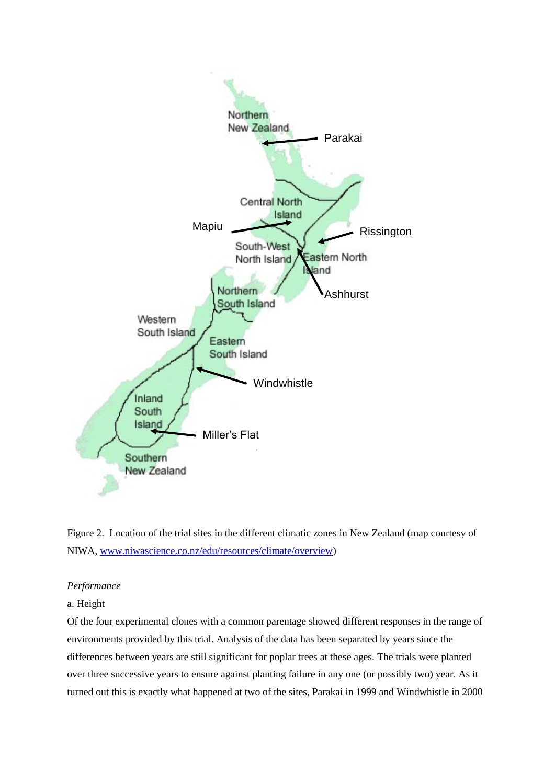



# *Performance*

# a. Height

Of the four experimental clones with a common parentage showed different responses in the range of environments provided by this trial. Analysis of the data has been separated by years since the differences between years are still significant for poplar trees at these ages. The trials were planted over three successive years to ensure against planting failure in any one (or possibly two) year. As it turned out this is exactly what happened at two of the sites, Parakai in 1999 and Windwhistle in 2000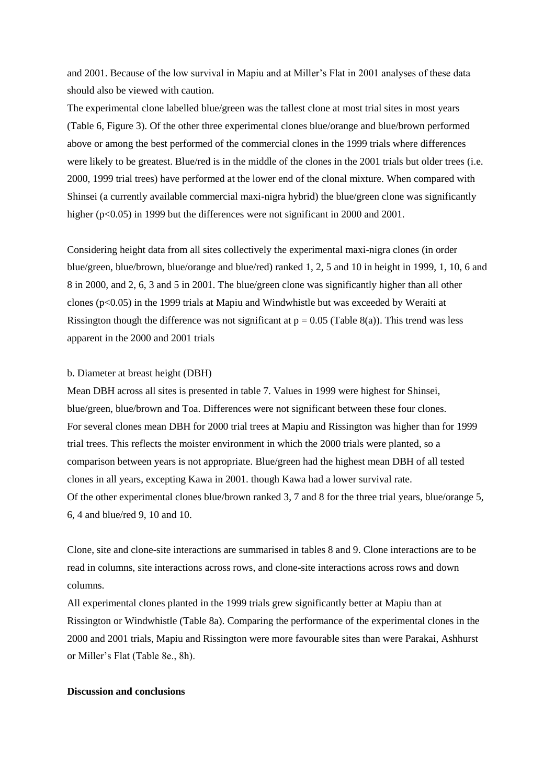and 2001. Because of the low survival in Mapiu and at Miller's Flat in 2001 analyses of these data should also be viewed with caution.

The experimental clone labelled blue/green was the tallest clone at most trial sites in most years (Table 6, Figure 3). Of the other three experimental clones blue/orange and blue/brown performed above or among the best performed of the commercial clones in the 1999 trials where differences were likely to be greatest. Blue/red is in the middle of the clones in the 2001 trials but older trees (i.e. 2000, 1999 trial trees) have performed at the lower end of the clonal mixture. When compared with Shinsei (a currently available commercial maxi-nigra hybrid) the blue/green clone was significantly higher (p<0.05) in 1999 but the differences were not significant in 2000 and 2001.

Considering height data from all sites collectively the experimental maxi-nigra clones (in order blue/green, blue/brown, blue/orange and blue/red) ranked 1, 2, 5 and 10 in height in 1999, 1, 10, 6 and 8 in 2000, and 2, 6, 3 and 5 in 2001. The blue/green clone was significantly higher than all other clones (p<0.05) in the 1999 trials at Mapiu and Windwhistle but was exceeded by Weraiti at Rissington though the difference was not significant at  $p = 0.05$  (Table 8(a)). This trend was less apparent in the 2000 and 2001 trials

#### b. Diameter at breast height (DBH)

Mean DBH across all sites is presented in table 7. Values in 1999 were highest for Shinsei, blue/green, blue/brown and Toa. Differences were not significant between these four clones. For several clones mean DBH for 2000 trial trees at Mapiu and Rissington was higher than for 1999 trial trees. This reflects the moister environment in which the 2000 trials were planted, so a comparison between years is not appropriate. Blue/green had the highest mean DBH of all tested clones in all years, excepting Kawa in 2001. though Kawa had a lower survival rate. Of the other experimental clones blue/brown ranked 3, 7 and 8 for the three trial years, blue/orange 5, 6, 4 and blue/red 9, 10 and 10.

Clone, site and clone-site interactions are summarised in tables 8 and 9. Clone interactions are to be read in columns, site interactions across rows, and clone-site interactions across rows and down columns.

All experimental clones planted in the 1999 trials grew significantly better at Mapiu than at Rissington or Windwhistle (Table 8a). Comparing the performance of the experimental clones in the 2000 and 2001 trials, Mapiu and Rissington were more favourable sites than were Parakai, Ashhurst or Miller's Flat (Table 8e., 8h).

## **Discussion and conclusions**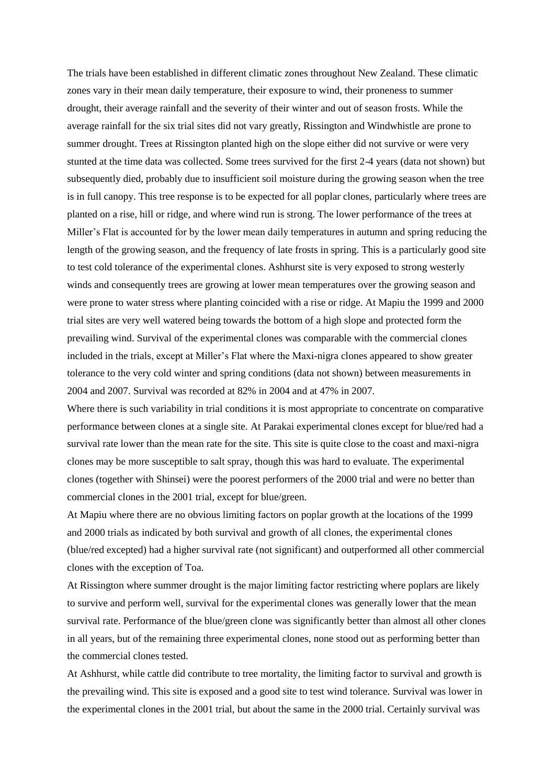The trials have been established in different climatic zones throughout New Zealand. These climatic zones vary in their mean daily temperature, their exposure to wind, their proneness to summer drought, their average rainfall and the severity of their winter and out of season frosts. While the average rainfall for the six trial sites did not vary greatly, Rissington and Windwhistle are prone to summer drought. Trees at Rissington planted high on the slope either did not survive or were very stunted at the time data was collected. Some trees survived for the first 2-4 years (data not shown) but subsequently died, probably due to insufficient soil moisture during the growing season when the tree is in full canopy. This tree response is to be expected for all poplar clones, particularly where trees are planted on a rise, hill or ridge, and where wind run is strong. The lower performance of the trees at Miller's Flat is accounted for by the lower mean daily temperatures in autumn and spring reducing the length of the growing season, and the frequency of late frosts in spring. This is a particularly good site to test cold tolerance of the experimental clones. Ashhurst site is very exposed to strong westerly winds and consequently trees are growing at lower mean temperatures over the growing season and were prone to water stress where planting coincided with a rise or ridge. At Mapiu the 1999 and 2000 trial sites are very well watered being towards the bottom of a high slope and protected form the prevailing wind. Survival of the experimental clones was comparable with the commercial clones included in the trials, except at Miller's Flat where the Maxi-nigra clones appeared to show greater tolerance to the very cold winter and spring conditions (data not shown) between measurements in 2004 and 2007. Survival was recorded at 82% in 2004 and at 47% in 2007.

Where there is such variability in trial conditions it is most appropriate to concentrate on comparative performance between clones at a single site. At Parakai experimental clones except for blue/red had a survival rate lower than the mean rate for the site. This site is quite close to the coast and maxi-nigra clones may be more susceptible to salt spray, though this was hard to evaluate. The experimental clones (together with Shinsei) were the poorest performers of the 2000 trial and were no better than commercial clones in the 2001 trial, except for blue/green.

At Mapiu where there are no obvious limiting factors on poplar growth at the locations of the 1999 and 2000 trials as indicated by both survival and growth of all clones, the experimental clones (blue/red excepted) had a higher survival rate (not significant) and outperformed all other commercial clones with the exception of Toa.

At Rissington where summer drought is the major limiting factor restricting where poplars are likely to survive and perform well, survival for the experimental clones was generally lower that the mean survival rate. Performance of the blue/green clone was significantly better than almost all other clones in all years, but of the remaining three experimental clones, none stood out as performing better than the commercial clones tested.

At Ashhurst, while cattle did contribute to tree mortality, the limiting factor to survival and growth is the prevailing wind. This site is exposed and a good site to test wind tolerance. Survival was lower in the experimental clones in the 2001 trial, but about the same in the 2000 trial. Certainly survival was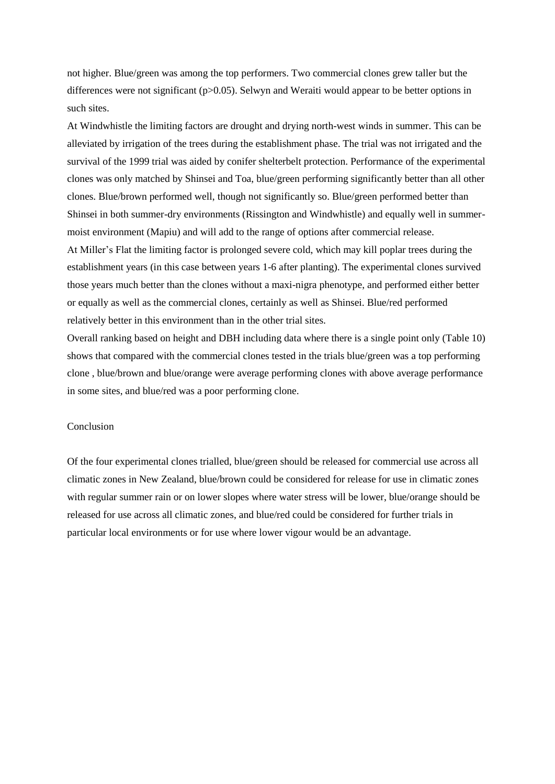not higher. Blue/green was among the top performers. Two commercial clones grew taller but the differences were not significant (p>0.05). Selwyn and Weraiti would appear to be better options in such sites.

At Windwhistle the limiting factors are drought and drying north-west winds in summer. This can be alleviated by irrigation of the trees during the establishment phase. The trial was not irrigated and the survival of the 1999 trial was aided by conifer shelterbelt protection. Performance of the experimental clones was only matched by Shinsei and Toa, blue/green performing significantly better than all other clones. Blue/brown performed well, though not significantly so. Blue/green performed better than Shinsei in both summer-dry environments (Rissington and Windwhistle) and equally well in summermoist environment (Mapiu) and will add to the range of options after commercial release.

At Miller's Flat the limiting factor is prolonged severe cold, which may kill poplar trees during the establishment years (in this case between years 1-6 after planting). The experimental clones survived those years much better than the clones without a maxi-nigra phenotype, and performed either better or equally as well as the commercial clones, certainly as well as Shinsei. Blue/red performed relatively better in this environment than in the other trial sites.

Overall ranking based on height and DBH including data where there is a single point only (Table 10) shows that compared with the commercial clones tested in the trials blue/green was a top performing clone , blue/brown and blue/orange were average performing clones with above average performance in some sites, and blue/red was a poor performing clone.

## Conclusion

Of the four experimental clones trialled, blue/green should be released for commercial use across all climatic zones in New Zealand, blue/brown could be considered for release for use in climatic zones with regular summer rain or on lower slopes where water stress will be lower, blue/orange should be released for use across all climatic zones, and blue/red could be considered for further trials in particular local environments or for use where lower vigour would be an advantage.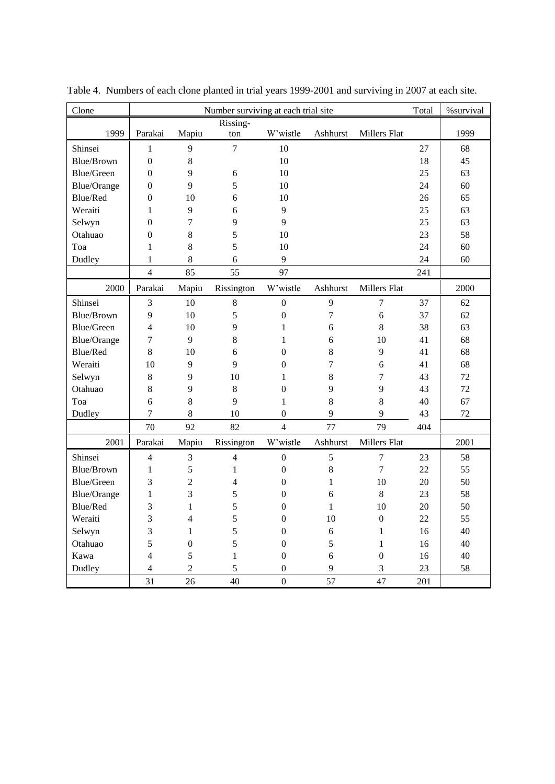| Clone              |                  |                  | Number surviving at each trial site |                  |                |                  | Total | %survival |
|--------------------|------------------|------------------|-------------------------------------|------------------|----------------|------------------|-------|-----------|
|                    |                  |                  | Rissing-                            |                  |                |                  |       |           |
| 1999               | Parakai          | Mapiu            | ton                                 | W'wistle         | Ashhurst       | Millers Flat     |       | 1999      |
| Shinsei            | 1                | 9                | 7                                   | 10               |                |                  | 27    | 68        |
| <b>Blue/Brown</b>  | $\overline{0}$   | $\,8\,$          |                                     | 10               |                |                  | 18    | 45        |
| Blue/Green         | $\boldsymbol{0}$ | 9                | 6                                   | 10               |                |                  | 25    | 63        |
| Blue/Orange        | $\boldsymbol{0}$ | 9                | 5                                   | 10               |                |                  | 24    | 60        |
| Blue/Red           | $\boldsymbol{0}$ | 10               | 6                                   | 10               |                |                  | 26    | 65        |
| Weraiti            | $\mathbf{1}$     | 9                | 6                                   | 9                |                |                  | 25    | 63        |
| Selwyn             | $\theta$         | 7                | 9                                   | 9                |                |                  | 25    | 63        |
| Otahuao            | $\boldsymbol{0}$ | 8                | 5                                   | 10               |                |                  | 23    | 58        |
| Toa                | $\mathbf{1}$     | 8                | 5                                   | 10               |                |                  | 24    | 60        |
| Dudley             | $\mathbf{1}$     | 8                | 6                                   | 9                |                |                  | 24    | 60        |
|                    | $\overline{4}$   | 85               | 55                                  | 97               |                |                  | 241   |           |
| 2000               | Parakai          | Mapiu            | Rissington                          | W'wistle         | Ashhurst       | Millers Flat     |       | 2000      |
| Shinsei            | 3                | 10               | $\,8\,$                             | $\boldsymbol{0}$ | 9              | $\overline{7}$   | 37    | 62        |
| Blue/Brown         | 9                | 10               | 5                                   | $\boldsymbol{0}$ | $\overline{7}$ | 6                | 37    | 62        |
| Blue/Green         | $\overline{4}$   | 10               | 9                                   | $\mathbf{1}$     | 6              | 8                | 38    | 63        |
| Blue/Orange        | $\overline{7}$   | 9                | 8                                   | $\mathbf{1}$     | 6              | 10               | 41    | 68        |
| Blue/Red           | 8                | 10               | 6                                   | $\boldsymbol{0}$ | 8              | 9                | 41    | 68        |
| Weraiti            | 10               | 9                | 9                                   | $\boldsymbol{0}$ | 7              | 6                | 41    | 68        |
| Selwyn             | $8\,$            | 9                | 10                                  | 1                | 8              | 7                | 43    | 72        |
| Otahuao            | $8\,$            | 9                | 8                                   | $\boldsymbol{0}$ | 9              | 9                | 43    | 72        |
| Toa                | 6                | $\,8\,$          | 9                                   | $\mathbf{1}$     | 8              | 8                | 40    | 67        |
| Dudley             | $\overline{7}$   | $\,8\,$          | 10                                  | $\boldsymbol{0}$ | 9              | 9                | 43    | 72        |
|                    | 70               | 92               | 82                                  | $\overline{4}$   | 77             | 79               | 404   |           |
| 2001               | Parakai          | Mapiu            | Rissington                          | W'wistle         | Ashhurst       | Millers Flat     |       | 2001      |
| Shinsei            | $\overline{4}$   | 3                | $\overline{4}$                      | $\boldsymbol{0}$ | 5              | $\overline{7}$   | 23    | 58        |
| Blue/Brown         | $\mathbf{1}$     | 5                | $\mathbf{1}$                        | $\boldsymbol{0}$ | 8              | $\overline{7}$   | 22    | 55        |
| Blue/Green         | 3                | $\overline{2}$   | 4                                   | $\boldsymbol{0}$ | 1              | 10               | 20    | 50        |
| <b>Blue/Orange</b> | $\mathbf{1}$     | 3                | 5                                   | $\boldsymbol{0}$ | 6              | 8                | 23    | 58        |
| Blue/Red           | 3                | $\mathbf{1}$     | 5                                   | $\boldsymbol{0}$ | $\mathbf{1}$   | 10               | 20    | 50        |
| Weraiti            | 3                | $\overline{4}$   | 5                                   | $\boldsymbol{0}$ | 10             | $\boldsymbol{0}$ | 22    | 55        |
| Selwyn             | 3                | $\mathbf{1}$     | 5                                   | $\boldsymbol{0}$ | 6              | $\mathbf{1}$     | 16    | 40        |
| Otahuao            | 5                | $\boldsymbol{0}$ | 5                                   | $\boldsymbol{0}$ | 5              | $\mathbf{1}$     | 16    | 40        |
| Kawa               | $\overline{4}$   | 5                | $\mathbf{1}$                        | $\boldsymbol{0}$ | 6              | $\boldsymbol{0}$ | 16    | 40        |
| Dudley             | $\overline{4}$   | $\overline{2}$   | 5                                   | $\boldsymbol{0}$ | 9              | 3                | 23    | 58        |
|                    | 31               | 26               | 40                                  | $\overline{0}$   | 57             | 47               | 201   |           |

Table 4. Numbers of each clone planted in trial years 1999-2001 and surviving in 2007 at each site.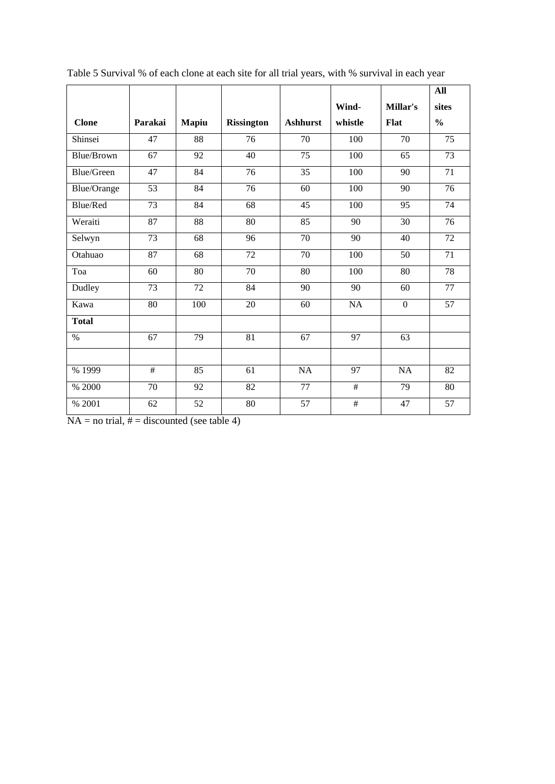|                   |         |       |                   |                 |         |                  | All             |
|-------------------|---------|-------|-------------------|-----------------|---------|------------------|-----------------|
|                   |         |       |                   |                 | Wind-   | <b>Millar's</b>  | sites           |
| <b>Clone</b>      | Parakai | Mapiu | <b>Rissington</b> | <b>Ashhurst</b> | whistle | <b>Flat</b>      | $\frac{0}{0}$   |
| Shinsei           | 47      | 88    | 76                | 70              | 100     | 70               | 75              |
| Blue/Brown        | 67      | 92    | 40                | 75              | 100     | 65               | 73              |
| <b>Blue/Green</b> | 47      | 84    | 76                | 35              | 100     | 90               | 71              |
| Blue/Orange       | 53      | 84    | 76                | 60              | 100     | 90               | 76              |
| Blue/Red          | 73      | 84    | 68                | 45              | 100     | 95               | 74              |
| Weraiti           | 87      | 88    | 80                | 85              | 90      | 30               | $\overline{76}$ |
| Selwyn            | 73      | 68    | 96                | 70              | 90      | 40               | $\overline{72}$ |
| Otahuao           | 87      | 68    | 72                | 70              | 100     | 50               | 71              |
| Toa               | 60      | 80    | $\overline{70}$   | 80              | 100     | 80               | 78              |
| Dudley            | 73      | 72    | 84                | 90              | 90      | 60               | $\overline{77}$ |
| Kawa              | 80      | 100   | 20                | 60              | NA      | $\boldsymbol{0}$ | 57              |
| <b>Total</b>      |         |       |                   |                 |         |                  |                 |
| $\%$              | 67      | 79    | 81                | 67              | 97      | 63               |                 |
|                   |         |       |                   |                 |         |                  |                 |
| % 1999            | #       | 85    | 61                | <b>NA</b>       | 97      | <b>NA</b>        | 82              |
| % 2000            | 70      | 92    | 82                | 77              | #       | 79               | 80              |
| % 2001            | 62      | 52    | 80                | 57              | #       | 47               | 57              |

Table 5 Survival % of each clone at each site for all trial years, with % survival in each year

 $NA = no trial, # = discounted (see table 4)$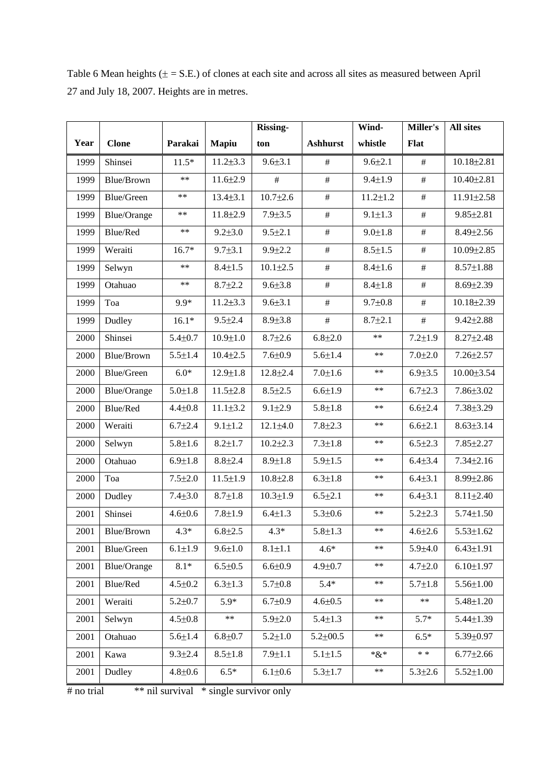Table 6 Mean heights  $(\pm = S.E.)$  of clones at each site and across all sites as measured between April 27 and July 18, 2007. Heights are in metres.

|      |                    |               |                | Rissing-       |                 | Wind-          | Miller's      | <b>All sites</b> |
|------|--------------------|---------------|----------------|----------------|-----------------|----------------|---------------|------------------|
| Year | <b>Clone</b>       | Parakai       | Mapiu          | ton            | <b>Ashhurst</b> | whistle        | <b>Flat</b>   |                  |
| 1999 | Shinsei            | $11.5*$       | $11.2 \pm 3.3$ | $9.6 \pm 3.1$  | $\#$            | $9.6 \pm 2.1$  | $\#$          | 10.18±2.81       |
| 1999 | Blue/Brown         | $***$         | $11.6 \pm 2.9$ | #              | $\#$            | $9.4 \pm 1.9$  | $\#$          | $10.40 \pm 2.81$ |
| 1999 | Blue/Green         | $***$         | $13.4 \pm 3.1$ | $10.7 \pm 2.6$ | $\#$            | $11.2 \pm 1.2$ | $\#$          | 11.91±2.58       |
| 1999 | <b>Blue/Orange</b> | $***$         | $11.8 \pm 2.9$ | $7.9 \pm 3.5$  | $\#$            | $9.1 \pm 1.3$  | $\#$          | $9.85 \pm 2.81$  |
| 1999 | Blue/Red           | $***$         | $9.2 \pm 3.0$  | $9.5 \pm 2.1$  | $\#$            | $9.0 \pm 1.8$  | $\#$          | $8.49 \pm 2.56$  |
| 1999 | Weraiti            | $16.7*$       | $9.7 \pm 3.1$  | $9.9 \pm 2.2$  | $\#$            | $8.5 \pm 1.5$  | $\#$          | 10.09±2.85       |
| 1999 | Selwyn             | $**$          | $8.4 \pm 1.5$  | $10.1 \pm 2.5$ | $\#$            | $8.4 \pm 1.6$  | $\#$          | $8.57 \pm 1.88$  |
| 1999 | Otahuao            | $***$         | $8.7 \pm 2.2$  | $9.6 \pm 3.8$  | $\#$            | $8.4 \pm 1.8$  | $\#$          | $8.69{\pm}2.39$  |
| 1999 | Toa                | 9.9*          | $11.2 \pm 3.3$ | $9.6 \pm 3.1$  | #               | $9.7 \pm 0.8$  | $\#$          | 10.18±2.39       |
| 1999 | Dudley             | $16.1*$       | $9.5 \pm 2.4$  | $8.9 \pm 3.8$  | $\#$            | $8.7 \pm 2.1$  | $\#$          | $9.42 \pm 2.88$  |
| 2000 | Shinsei            | $5.4 \pm 0.7$ | $10.9 \pm 1.0$ | $8.7 \pm 2.6$  | $6.8{\pm}2.0$   | $**$           | $7.2 \pm 1.9$ | $8.27 \pm 2.48$  |
| 2000 | Blue/Brown         | $5.5 \pm 1.4$ | $10.4 \pm 2.5$ | $7.6 \pm 0.9$  | $5.6 \pm 1.4$   | $***$          | $7.0 \pm 2.0$ | $7.26 \pm 2.57$  |
| 2000 | Blue/Green         | $6.0*$        | $12.9 \pm 1.8$ | $12.8 \pm 2.4$ | $7.0 + 1.6$     | **             | $6.9{\pm}3.5$ | 10.00±3.54       |
| 2000 | <b>Blue/Orange</b> | $5.0 \pm 1.8$ | $11.5 \pm 2.8$ | $8.5 \pm 2.5$  | $6.6 \pm 1.9$   | $***$          | $6.7 \pm 2.3$ | 7.86±3.02        |
| 2000 | Blue/Red           | $4.4 + 0.8$   | $11.1 \pm 3.2$ | $9.1 \pm 2.9$  | $5.8 + 1.8$     | **             | $6.6{\pm}2.4$ | 7.38±3.29        |
| 2000 | Weraiti            | $6.7{\pm}2.4$ | $9.1 \pm 1.2$  | $12.1 \pm 4.0$ | $7.8 \pm 2.3$   | $***$          | $6.6 \pm 2.1$ | $8.63{\pm}3.14$  |
| 2000 | Selwyn             | $5.8 + 1.6$   | $8.2 \pm 1.7$  | $10.2 \pm 2.3$ | $7.3 \pm 1.8$   | $***$          | $6.5 \pm 2.3$ | 7.85±2.27        |
| 2000 | Otahuao            | $6.9 \pm 1.8$ | $8.8 + 2.4$    | $8.9 \pm 1.8$  | $5.9 \pm 1.5$   | $***$          | $6.4 + 3.4$   | $7.34 \pm 2.16$  |
| 2000 | Toa                | $7.5 \pm 2.0$ | $11.5 \pm 1.9$ | $10.8 + 2.8$   | $6.3 \pm 1.8$   | $***$          | $6.4{\pm}3.1$ | 8.99±2.86        |
| 2000 | Dudley             | $7.4 + 3.0$   | $8.7 \pm 1.8$  | $10.3 \pm 1.9$ | $6.5 \pm 2.1$   | **             | $6.4{\pm}3.1$ | $8.11 \pm 2.40$  |
| 2001 | Shinsei            | $4.6 \pm 0.6$ | $7.8 + 1.9$    | $6.4 \pm 1.3$  | $5.3 \pm 0.6$   | $***$          | $5.2 \pm 2.3$ | $5.74 \pm 1.50$  |
| 2001 | Blue/Brown         | $4.3*$        | $6.8 \pm 2.5$  | $4.3*$         | $5.8 + 1.3$     | $***$          | $4.6 \pm 2.6$ | $5.53 \pm 1.62$  |
| 2001 | Blue/Green         | $6.1 \pm 1.9$ | $9.6 \pm 1.0$  | $8.1 \pm 1.1$  | $4.6*$          | **             | $5.9 + 4.0$   | $6.43 \pm 1.91$  |
| 2001 | <b>Blue/Orange</b> | $8.1*$        | $6.5 \pm 0.5$  | $6.6 \pm 0.9$  | $4.9 + 0.7$     | **             | $4.7 + 2.0$   | $6.10 \pm 1.97$  |
| 2001 | Blue/Red           | $4.5 \pm 0.2$ | $6.3 \pm 1.3$  | $5.7 \pm 0.8$  | $5.4*$          | **             | $5.7 \pm 1.8$ | 5.56±1.00        |
| 2001 | Weraiti            | $5.2 \pm 0.7$ | $5.9*$         | $6.7 \pm 0.9$  | $4.6 + 0.5$     | $***$          | $***$         | $5.48 \pm 1.20$  |
| 2001 | Selwyn             | $4.5 \pm 0.8$ | $\ast\ast$     | $5.9 \pm 2.0$  | $5.4 \pm 1.3$   | **             | $5.7*$        | $5.44 \pm 1.39$  |
| 2001 | Otahuao            | $5.6 \pm 1.4$ | $6.8 + 0.7$    | $5.2 \pm 1.0$  | $5.2 \pm 00.5$  | $***$          | $6.5*$        | 5.39±0.97        |
| 2001 | Kawa               | $9.3 \pm 2.4$ | $8.5 \pm 1.8$  | $7.9 \pm 1.1$  | $5.1 \pm 1.5$   | $* \& *$       | $**$          | $6.77{\pm}2.66$  |
| 2001 | Dudley             | $4.8 \pm 0.6$ | $6.5*$         | $6.1 \pm 0.6$  | $5.3 \pm 1.7$   | $***$          | $5.3 \pm 2.6$ | $5.52 \pm 1.00$  |

# no trial \*\* nil survival \* single survivor only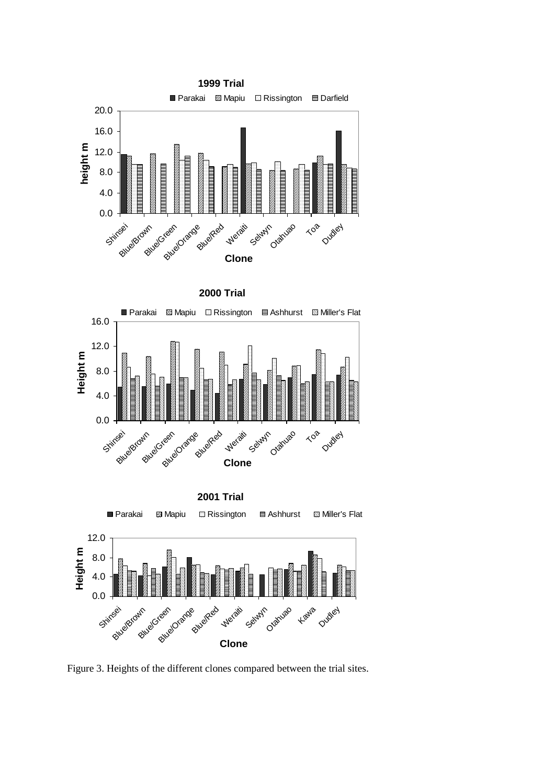





Figure 3. Heights of the different clones compared between the trial sites.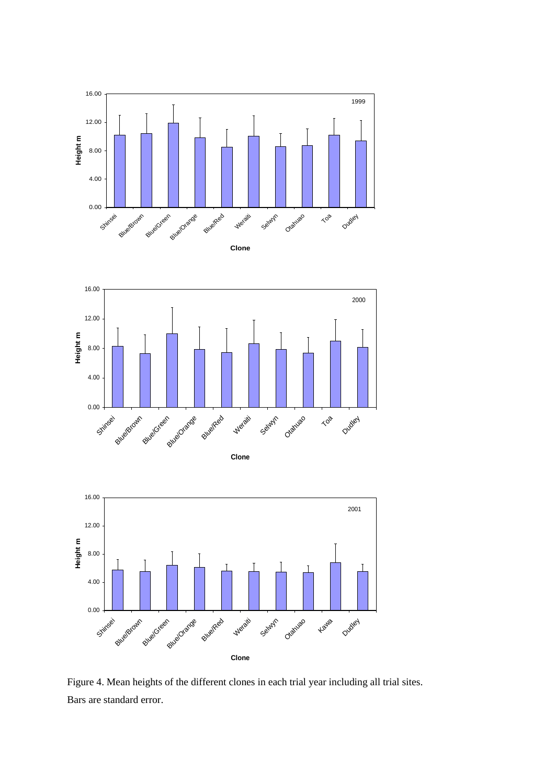





Figure 4. Mean heights of the different clones in each trial year including all trial sites. Bars are standard error.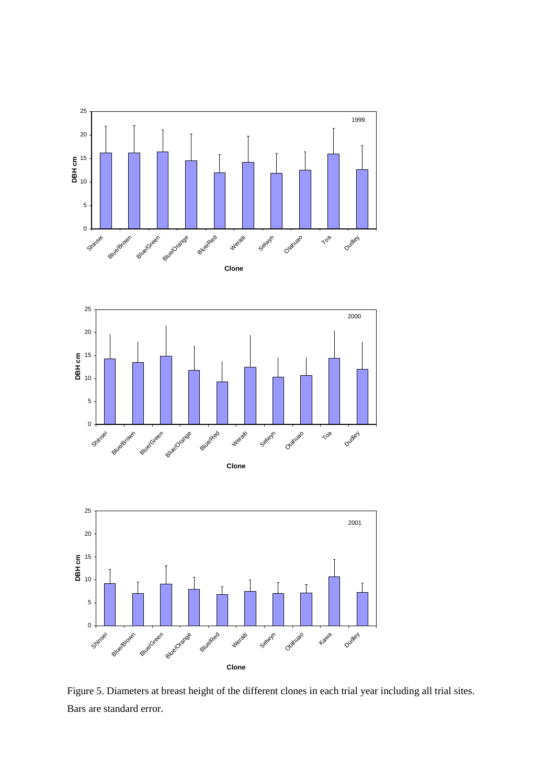





Figure 5. Diameters at breast height of the different clones in each trial year including all trial sites. Bars are standard error.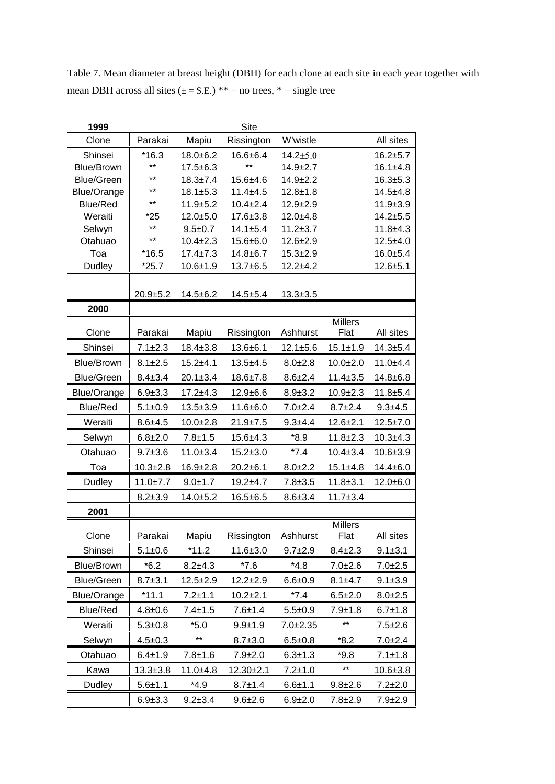Table 7. Mean diameter at breast height (DBH) for each clone at each site in each year together with mean DBH across all sites  $(\pm = S.E.)$  \*\* = no trees, \* = single tree

| 1999               |                |                               | Site                             |                              |                        |                              |
|--------------------|----------------|-------------------------------|----------------------------------|------------------------------|------------------------|------------------------------|
| Clone              | Parakai        | Mapiu                         | Rissington                       | W'wistle                     |                        | All sites                    |
| Shinsei            | $*16.3$        | $18.0 + 6.2$                  | $16.6 + 6.4$                     | $14.2 \pm 5.0$               |                        | $16.2 + 5.7$                 |
| <b>Blue/Brown</b>  | $***$          | $17.5 + 6.3$                  | $***$                            | $14.9 + 2.7$                 |                        | $16.1 + 4.8$                 |
| <b>Blue/Green</b>  | $***$          | $18.3 \pm 7.4$                | $15.6 + 4.6$                     | $14.9 \pm 2.2$               |                        | $16.3 + 5.3$                 |
| Blue/Orange        | $***$          | $18.1 \pm 5.3$                | $11.4 + 4.5$                     | $12.8 + 1.8$                 |                        | $14.5 + 4.8$                 |
| Blue/Red           | **             | $11.9 + 5.2$                  | $10.4 \pm 2.4$                   | $12.9 + 2.9$                 |                        | $11.9 + 3.9$                 |
| Weraiti            | $*25$<br>$***$ | $12.0 + 5.0$                  | $17.6 \pm 3.8$<br>$14.1 \pm 5.4$ | $12.0 + 4.8$                 |                        | $14.2 + 5.5$                 |
| Selwyn<br>Otahuao  | $***$          | $9.5 + 0.7$<br>$10.4 \pm 2.3$ | 15.6±6.0                         | $11.2 + 3.7$<br>$12.6 + 2.9$ |                        | $11.8 + 4.3$<br>$12.5 + 4.0$ |
| Toa                | $*16.5$        | $17.4 \pm 7.3$                | $14.8 + 6.7$                     | $15.3 + 2.9$                 |                        | $16.0 + 5.4$                 |
| Dudley             | $*25.7$        | $10.6 + 1.9$                  | $13.7 + 6.5$                     | $12.2 + 4.2$                 |                        | $12.6 + 5.1$                 |
|                    |                |                               |                                  |                              |                        |                              |
|                    | $20.9 + 5.2$   | $14.5 + 6.2$                  | $14.5 + 5.4$                     | $13.3 \pm 3.5$               |                        |                              |
| 2000               |                |                               |                                  |                              |                        |                              |
|                    |                |                               |                                  |                              | <b>Millers</b>         |                              |
| Clone              | Parakai        | Mapiu                         | Rissington                       | Ashhurst                     | Flat                   | All sites                    |
| Shinsei            | $7.1 \pm 2.3$  | $18.4 \pm 3.8$                | $13.6 + 6.1$                     | $12.1 + 5.6$                 | $15.1 \pm 1.9$         | $14.3 + 5.4$                 |
| <b>Blue/Brown</b>  | $8.1 \pm 2.5$  | $15.2 + 4.1$                  | $13.5 + 4.5$                     | $8.0 + 2.8$                  | $10.0 + 2.0$           | $11.0 + 4.4$                 |
| <b>Blue/Green</b>  | $8.4 \pm 3.4$  | $20.1 \pm 3.4$                | $18.6 \pm 7.8$                   | $8.6 + 2.4$                  | $11.4 \pm 3.5$         | $14.8 + 6.8$                 |
| <b>Blue/Orange</b> | $6.9 + 3.3$    | $17.2 + 4.3$                  | $12.9 + 6.6$                     | $8.9 \pm 3.2$                | $10.9 + 2.3$           | $11.8 + 5.4$                 |
| <b>Blue/Red</b>    | $5.1 + 0.9$    | $13.5 + 3.9$                  | $11.6 + 6.0$                     | $7.0 + 2.4$                  | $8.7 + 2.4$            | $9.3 + 4.5$                  |
| Weraiti            | $8.6 + 4.5$    | $10.0 + 2.8$                  | $21.9 \pm 7.5$                   | $9.3 + 4.4$                  | $12.6 \pm 2.1$         | $12.5 \pm 7.0$               |
| Selwyn             | $6.8 + 2.0$    | $7.8 + 1.5$                   | $15.6 + 4.3$                     | $*8.9$                       | $11.8 \pm 2.3$         | $10.3 + 4.3$                 |
| Otahuao            | $9.7 + 3.6$    | $11.0 + 3.4$                  | $15.2 \pm 3.0$                   | $*7.4$                       | $10.4 \pm 3.4$         | $10.6 \pm 3.9$               |
| Toa                | $10.3 + 2.8$   | $16.9 \pm 2.8$                | $20.2 + 6.1$                     | $8.0 + 2.2$                  | $15.1 + 4.8$           | $14.4 \pm 6.0$               |
| Dudley             | $11.0 \pm 7.7$ | $9.0 + 1.7$                   | $19.2 + 4.7$                     | $7.8 + 3.5$                  | $11.8 \pm 3.1$         | $12.0 + 6.0$                 |
|                    | $8.2 + 3.9$    | $14.0 + 5.2$                  | $16.5 + 6.5$                     | $8.6 + 3.4$                  | $11.7 \pm 3.4$         |                              |
| 2001               |                |                               |                                  |                              |                        |                              |
| Clone              | Parakai        | Mapiu                         | Rissington                       | Ashhurst                     | <b>Millers</b><br>Flat | All sites                    |
| Shinsei            | $5.1 \pm 0.6$  | $*11.2$                       | $11.6 \pm 3.0$                   | $9.7 + 2.9$                  | $8.4 \pm 2.3$          | $9.1 \pm 3.1$                |
| <b>Blue/Brown</b>  | $*6.2$         | 8.2±4.3                       | *7.6                             | $*4.8$                       | $7.0 + 2.6$            | $7.0 + 2.5$                  |
| <b>Blue/Green</b>  | $8.7 + 3.1$    | $12.5 \pm 2.9$                | $12.2 \pm 2.9$                   | $6.6 + 0.9$                  | $8.1 + 4.7$            | $9.1 + 3.9$                  |
| Blue/Orange        | $*11.1$        | $7.2 + 1.1$                   | $10.2 + 2.1$                     | $*7.4$                       | $6.5 + 2.0$            | $8.0 + 2.5$                  |
| Blue/Red           | $4.8 + 0.6$    | $7.4 \pm 1.5$                 | 7.6±1.4                          | $5.5 + 0.9$                  | $7.9 + 1.8$            | $6.7 \pm 1.8$                |
| Weraiti            | $5.3 + 0.8$    | $*5.0$                        | $9.9 + 1.9$                      | $7.0 + 2.35$                 | **                     | $7.5 + 2.6$                  |
| Selwyn             | $4.5 \pm 0.3$  | $***$                         | $8.7 + 3.0$                      | $6.5 + 0.8$                  | $*8.2$                 | $7.0 + 2.4$                  |
| Otahuao            | $6.4 \pm 1.9$  | $7.8 + 1.6$                   | 7.9±2.0                          | $6.3 \pm 1.3$                | $*9.8$                 | $7.1 \pm 1.8$                |
| Kawa               | $13.3 \pm 3.8$ | $11.0 + 4.8$                  | $12.30 + 2.1$                    | $7.2 + 1.0$                  | **                     | $10.6 \pm 3.8$               |
| Dudley             | $5.6 + 1.1$    | $*4.9$                        | $8.7 \pm 1.4$                    | $6.6 + 1.1$                  | $9.8 + 2.6$            | $7.2 + 2.0$                  |
|                    | $6.9 \pm 3.3$  | $9.2 \pm 3.4$                 | $9.6 \pm 2.6$                    | $6.9 \pm 2.0$                | $7.8 \pm 2.9$          | 7.9±2.9                      |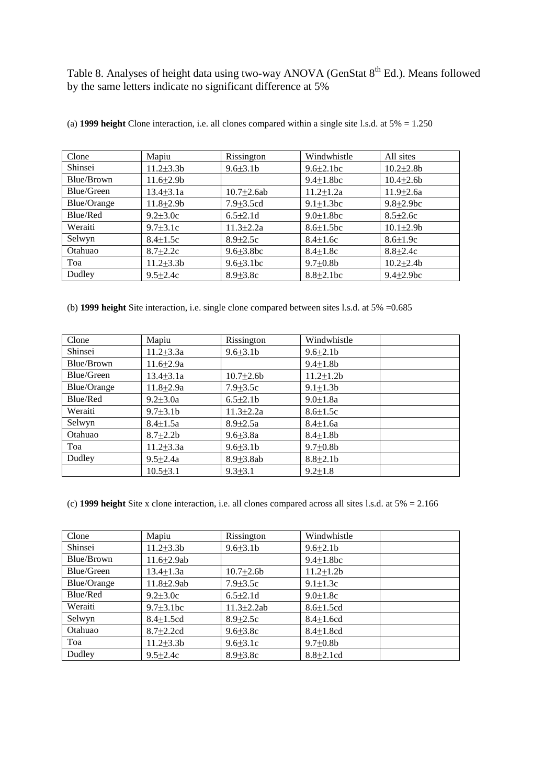Table 8. Analyses of height data using two-way ANOVA (GenStat 8<sup>th</sup> Ed.). Means followed by the same letters indicate no significant difference at 5%

| Clone              | Mapiu            | Rissington        | Windwhistle      | All sites        |
|--------------------|------------------|-------------------|------------------|------------------|
| Shinsei            | $11.2\pm3.3b$    | $9.6 \pm 3.1 b$   | $9.6 \pm 2.1$ bc | $10.2{\pm}2.8b$  |
| Blue/Brown         | $11.6 \pm 2.9 b$ |                   | $9.4 \pm 1.8$ bc | $10.4 \pm 2.6 b$ |
| Blue/Green         | $13.4 \pm 3.1a$  | $10.7 \pm 2.6$ ab | $11.2 \pm 1.2a$  | $11.9 \pm 2.6a$  |
| <b>Blue/Orange</b> | $11.8 \pm 2.9 b$ | $7.9 \pm 3.5$ cd  | $9.1 \pm 1.3$ bc | $9.8 \pm 2.9$ bc |
| Blue/Red           | $9.2 \pm 3.0c$   | $6.5 \pm 2.1$ d   | $9.0 \pm 1.8$ bc | $8.5 \pm 2.6c$   |
| Weraiti            | $9.7 \pm 3.1c$   | $11.3 \pm 2.2a$   | $8.6 \pm 1.5$ bc | $10.1 \pm 2.9 b$ |
| Selwyn             | $8.4 \pm 1.5c$   | $8.9 \pm 2.5c$    | $8.4 \pm 1.6c$   | $8.6 \pm 1.9c$   |
| Otahuao            | $8.7 \pm 2.2c$   | $9.6 \pm 3.8$ bc  | $8.4 \pm 1.8c$   | $8.8 \pm 2.4c$   |
| Toa                | $11.2\pm3.3b$    | $9.6 \pm 3.1$ bc  | $9.7 \pm 0.8$ b  | $10.2{\pm}2.4b$  |
| Dudley             | $9.5 \pm 2.4c$   | $8.9 \pm 3.8$ c   | $8.8 \pm 2.1$ bc | $9.4 \pm 2.9$ bc |

(a) **1999 height** Clone interaction, i.e. all clones compared within a single site l.s.d. at 5% = 1.250

(b) **1999 height** Site interaction, i.e. single clone compared between sites l.s.d. at 5% =0.685

| Clone              | Mapiu           | Rissington       | Windwhistle      |
|--------------------|-----------------|------------------|------------------|
| Shinsei            | $11.2 \pm 3.3a$ | $9.6 \pm 3.1 b$  | $9.6 \pm 2.1$    |
| Blue/Brown         | $11.6{\pm}2.9a$ |                  | $9.4 \pm 1.8 b$  |
| Blue/Green         | $13.4 \pm 3.1a$ | $10.7 \pm 2.6 b$ | $11.2 \pm 1.2 b$ |
| <b>Blue/Orange</b> | $11.8 \pm 2.9a$ | $7.9 \pm 3.5c$   | $9.1 \pm 1.3 b$  |
| Blue/Red           | $9.2 + 3.0a$    | $6.5 \pm 2.1$    | $9.0 \pm 1.8a$   |
| Weraiti            | $9.7 \pm 3.1 b$ | $11.3 \pm 2.2a$  | $8.6 \pm 1.5c$   |
| Selwyn             | $8.4 \pm 1.5a$  | $8.9 \pm 2.5a$   | $8.4 \pm 1.6a$   |
| Otahuao            | $8.7 \pm 2.2 b$ | $9.6 \pm 3.8a$   | $8.4 \pm 1.8$ b  |
| Toa                | $11.2 \pm 3.3a$ | $9.6 \pm 3.1 b$  | $9.7 \pm 0.8$ b  |
| Dudley             | $9.5 + 2.4a$    | $8.9 \pm 3.8$ ab | $8.8 \pm 2.1$    |
|                    | $10.5 \pm 3.1$  | $9.3 + 3.1$      | $9.2 \pm 1.8$    |

(c) **1999 height** Site x clone interaction, i.e. all clones compared across all sites l.s.d. at 5% = 2.166

| Clone              | Mapiu             | Rissington       | Windwhistle      |
|--------------------|-------------------|------------------|------------------|
| Shinsei            | $11.2 \pm 3.3 b$  | $9.6 \pm 3.1 b$  | $9.6 \pm 2.1$    |
| Blue/Brown         | $11.6 \pm 2.9$ ab |                  | $9.4 \pm 1.8$ bc |
| Blue/Green         | $13.4 \pm 1.3a$   | $10.7 \pm 2.6 b$ | $11.2 \pm 1.2 b$ |
| <b>Blue/Orange</b> | $11.8 + 2.9$ ab   | $7.9 \pm 3.5c$   | $9.1 \pm 1.3c$   |
| Blue/Red           | $9.2 \pm 3.0c$    | $6.5 \pm 2.1$ d  | $9.0 \pm 1.8c$   |
| Weraiti            | $9.7 \pm 3.1$ bc  | $11.3 \pm 2.2ab$ | $8.6 \pm 1.5$ cd |
| Selwyn             | $8.4 \pm 1.5$ cd  | $8.9 \pm 2.5c$   | $8.4 \pm 1.6$ cd |
| Otahuao            | $8.7 \pm 2.2$ cd  | $9.6 \pm 3.8$ c  | $8.4 \pm 1.8$ cd |
| Toa                | $11.2 \pm 3.3 b$  | $9.6 \pm 3.1$ c  | $9.7 \pm 0.8$ b  |
| Dudley             | $9.5 \pm 2.4c$    | $8.9 \pm 3.8$ c  | $8.8 \pm 2.1$ cd |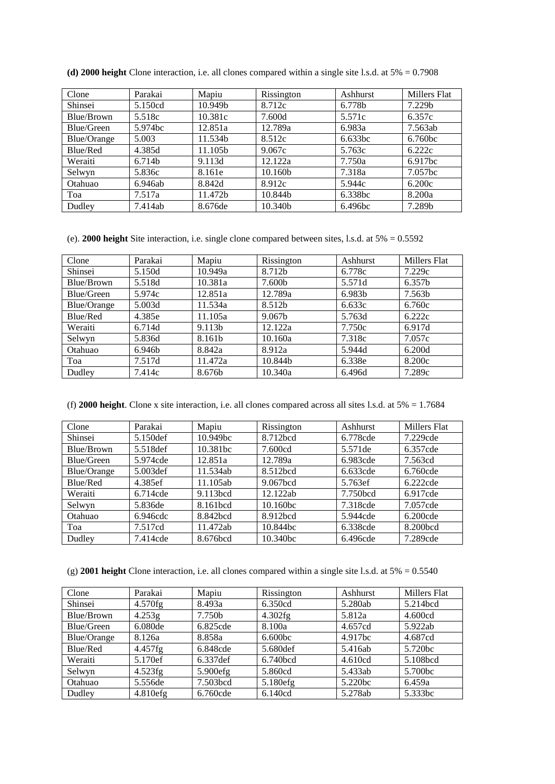| Clone       | Parakai | Mapiu   | Rissington | Ashhurst | Millers Flat       |
|-------------|---------|---------|------------|----------|--------------------|
| Shinsei     | 5.150cd | 10.949b | 8.712c     | 6.778b   | 7.229 <sub>b</sub> |
| Blue/Brown  | 5.518c  | 10.381c | 7.600d     | 5.571c   | 6.357c             |
| Blue/Green  | 5.974bc | 12.851a | 12.789a    | 6.983a   | 7.563ab            |
| Blue/Orange | 5.003   | 11.534b | 8.512c     | 6.633bc  | 6.760bc            |
| Blue/Red    | 4.385d  | 11.105b | 9.067c     | 5.763c   | 6.222c             |
| Weraiti     | 6.714b  | 9.113d  | 12.122a    | 7.750a   | 6.917bc            |
| Selwyn      | 5.836c  | 8.161e  | 10.160b    | 7.318a   | 7.057bc            |
| Otahuao     | 6.946ab | 8.842d  | 8.912c     | 5.944c   | 6.200c             |
| Toa         | 7.517a  | 11.472b | 10.844b    | 6.338bc  | 8.200a             |
| Dudley      | 7.414ab | 8.676de | 10.340b    | 6.496bc  | 7.289b             |

**(d) 2000 height** Clone interaction, i.e. all clones compared within a single site l.s.d. at 5% = 0.7908

(e). **2000 height** Site interaction, i.e. single clone compared between sites, l.s.d. at 5% = 0.5592

| Clone       | Parakai |         | Rissington         | Ashhurst | Millers Flat |  |
|-------------|---------|---------|--------------------|----------|--------------|--|
| Shinsei     | 5.150d  | 10.949a | 8.712b             | 6.778c   | 7.229c       |  |
| Blue/Brown  | 5.518d  | 10.381a | 7.600b             | 5.571d   | 6.357b       |  |
| Blue/Green  | 5.974c  | 12.851a | 12.789a            | 6.983b   | 7.563b       |  |
| Blue/Orange | 5.003d  | 11.534a | 8.512 <sub>b</sub> | 6.633c   | 6.760c       |  |
| Blue/Red    | 4.385e  | 11.105a | 9.067b             | 5.763d   | 6.222c       |  |
| Weraiti     | 6.714d  | 9.113b  | 12.122a            | 7.750c   | 6.917d       |  |
| Selwyn      | 5.836d  | 8.161b  | 10.160a            | 7.318c   | 7.057c       |  |
| Otahuao     | 6.946b  | 8.842a  | 8.912a             | 5.944d   | 6.200d       |  |
| Toa         | 7.517d  | 11.472a | 10.844b            | 6.338e   | 8.200c       |  |
| Dudley      | 7.414c  | 8.676b  | 10.340a            | 6.496d   | 7.289c       |  |

(f) **2000 height**. Clone x site interaction, i.e. all clones compared across all sites l.s.d. at 5% = 1.7684

| Clone       | Parakai   | Mapiu                | Rissington | Ashhurst | <b>Millers Flat</b> |  |
|-------------|-----------|----------------------|------------|----------|---------------------|--|
| Shinsei     | 5.150 def | 10.949bc             | 8.712bcd   | 6.778cde | 7.229cde            |  |
| Blue/Brown  | 5.518def  | 10.381bc             | 7.600cd    | 5.571de  | 6.357cde            |  |
| Blue/Green  | 5.974cde  | 12.851a              | 12.789a    | 6.983cde | 7.563cd             |  |
| Blue/Orange | 5.003 def | 11.534ab             | 8.512bcd   | 6.633cde | 6.760cde            |  |
| Blue/Red    | 4.385ef   | 11.105ab             | 9.067bcd   | 5.763ef  | $6.222$ cde         |  |
| Weraiti     | 6.714cde  | 9.113bcd             | 12.122ab   | 7.750bcd | 6.917cde            |  |
| Selwyn      | 5.836de   | 8.161bcd             | 10.160bc   | 7.318cde | 7.057cde            |  |
| Otahuao     | 6.946cdc  | 8.842 <sub>bcd</sub> | 8.912bcd   | 5.944cde | 6.200cde            |  |
| Toa         | 7.517cd   | 11.472ab             | 10.844bc   | 6.338cde | 8.200bcd            |  |
| Dudley      | 7.414cde  | 8.676bcd             | 10.340bc   | 6.496cde | 7.289cde            |  |

(g) **2001 height** Clone interaction, i.e. all clones compared within a single site l.s.d. at 5% = 0.5540

| Clone       | Parakai     | Mapiu                | Rissington          | Ashhurst | Millers Flat |
|-------------|-------------|----------------------|---------------------|----------|--------------|
| Shinsei     | $4.570$ fg  | 8.493a               | 6.350cd             | 5.280ab  | 5.214bcd     |
| Blue/Brown  | 4.253g      | 7.750b               | 4.302fg             | 5.812a   | 4.600cd      |
| Blue/Green  | 6.080de     | 6.825cde             | 8.100a              | 4.657cd  | 5.922ab      |
| Blue/Orange | 8.126a      | 8.858a               | 6.600 <sub>bc</sub> | 4.917bc  | 4.687cd      |
| Blue/Red    | 4.457fg     | 6.848cde             | 5.680def            | 5.416ab  | 5.720bc      |
| Weraiti     | 5.170ef     | 6.337 <sub>def</sub> | 6.740bcd            | 4.610cd  | 5.108bcd     |
| Selwyn      | 4.523fg     | 5.900efg             | 5.860cd             | 5.433ab  | 5.700bc      |
| Otahuao     | 5.556de     | 7.503bcd             | 5.180efg            | 5.220bc  | 6.459a       |
| Dudley      | $4.810$ efg | 6.760cde             | 6.140cd             | 5.278ab  | 5.333bc      |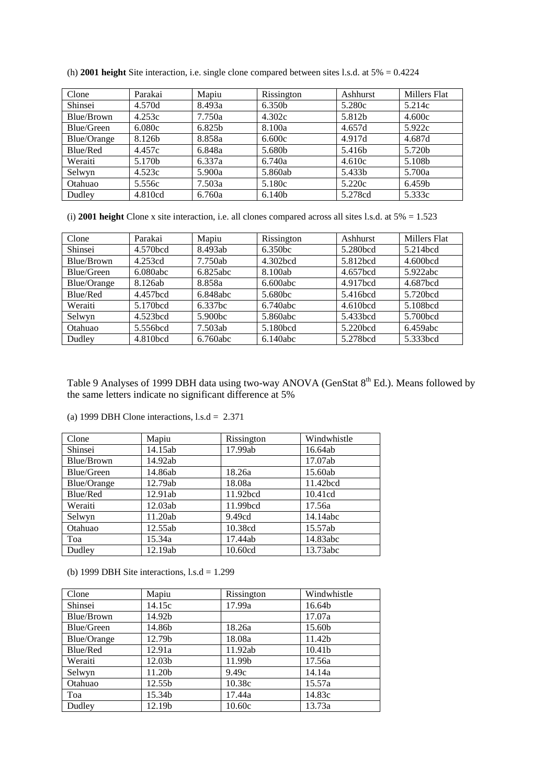| Clone       | Parakai | Mapiu  | Rissington | Ashhurst | Millers Flat |
|-------------|---------|--------|------------|----------|--------------|
| Shinsei     | 4.570d  | 8.493a | 6.350b     | 5.280c   | 5.214c       |
| Blue/Brown  | 4.253c  | 7.750a | 4.302c     | 5.812b   | 4.600c       |
| Blue/Green  | 6.080c  | 6.825b | 8.100a     | 4.657d   | 5.922c       |
| Blue/Orange | 8.126b  | 8.858a | 6.600c     | 4.917d   | 4.687d       |
| Blue/Red    | 4.457c  | 6.848a | 5.680b     | 5.416b   | 5.720b       |
| Weraiti     | 5.170b  | 6.337a | 6.740a     | 4.610c   | 5.108b       |
| Selwyn      | 4.523c  | 5.900a | 5.860ab    | 5.433b   | 5.700a       |
| Otahuao     | 5.556c  | 7.503a | 5.180c     | 5.220c   | 6.459b       |
| Dudley      | 4.810cd | 6.760a | 6.140b     | 5.278cd  | 5.333c       |

(h) **2001 height** Site interaction, i.e. single clone compared between sites l.s.d. at 5% = 0.4224

(i) **2001 height** Clone x site interaction, i.e. all clones compared across all sites l.s.d. at 5% = 1.523

| Clone              | Parakai  | Mapiu      | Rissington | Ashhurst             | Millers Flat         |
|--------------------|----------|------------|------------|----------------------|----------------------|
| Shinsei            | 4.570bcd | 8.493ab    | 6.350bc    | 5.280bcd             | 5.214bcd             |
| Blue/Brown         | 4.253cd  | 7.750ab    | 4.302bcd   | 5.812bcd             | 4.600bcd             |
| Blue/Green         | 6.080abc | 6.825abc   | 8.100ab    | 4.657bcd             | 5.922abc             |
| <b>Blue/Orange</b> | 8.126ab  | 8.858a     | 6.600abc   | 4.917bcd             | 4.687bcd             |
| Blue/Red           | 4.457bcd | 6.848abc   | 5.680bc    | 5.416bcd             | 5.720 <sub>bcd</sub> |
| Weraiti            | 5.170bcd | $6.337$ bc | 6.740abc   | 4.610 <sub>bcd</sub> | 5.108bcd             |
| Selwyn             | 4.523bcd | 5.900bc    | 5.860abc   | 5.433bcd             | 5.700bcd             |
| Otahuao            | 5.556bcd | 7.503ab    | 5.180bcd   | 5.220 <sub>bcd</sub> | 6.459abc             |
| Dudley             | 4.810bcd | 6.760abc   | 6.140abc   | 5.278bcd             | 5.333bcd             |

Table 9 Analyses of 1999 DBH data using two-way ANOVA (GenStat 8<sup>th</sup> Ed.). Means followed by the same letters indicate no significant difference at 5%

|  |  |  |  | (a) 1999 DBH Clone interactions, $1$ .s.d = 2.371 |  |  |
|--|--|--|--|---------------------------------------------------|--|--|
|--|--|--|--|---------------------------------------------------|--|--|

| Clone       | Mapiu   | Rissington | Windwhistle |
|-------------|---------|------------|-------------|
| Shinsei     | 14.15ab | 17.99ab    | 16.64ab     |
| Blue/Brown  | 14.92ab |            | 17.07ab     |
| Blue/Green  | 14.86ab | 18.26a     | 15.60ab     |
| Blue/Orange | 12.79ab | 18.08a     | 11.42bcd    |
| Blue/Red    | 12.91ab | 11.92bcd   | 10.41cd     |
| Weraiti     | 12.03ab | 11.99bcd   | 17.56a      |
| Selwyn      | 11.20ab | 9.49cd     | 14.14abc    |
| Otahuao     | 12.55ab | 10.38cd    | 15.57ab     |
| Toa         | 15.34a  | 17.44ab    | 14.83abc    |
| Dudley      | 12.19ab | 10.60cd    | 13.73abc    |

(b) 1999 DBH Site interactions,  $l.s.d = 1.299$ 

| Clone              | Mapiu              | Rissington | Windwhistle |
|--------------------|--------------------|------------|-------------|
| Shinsei            | 14.15c             | 17.99a     | 16.64b      |
| Blue/Brown         | 14.92b             |            | 17.07a      |
| Blue/Green         | 14.86b             | 18.26a     | 15.60b      |
| <b>Blue/Orange</b> | 12.79b             | 18.08a     | 11.42b      |
| Blue/Red           | 12.91a             | 11.92ab    | 10.41b      |
| Weraiti            | 12.03 <sub>b</sub> | 11.99b     | 17.56a      |
| Selwyn             | 11.20b             | 9.49c      | 14.14a      |
| Otahuao            | 12.55b             | 10.38c     | 15.57a      |
| Toa                | 15.34b             | 17.44a     | 14.83c      |
| Dudley             | 12.19b             | 10.60c     | 13.73a      |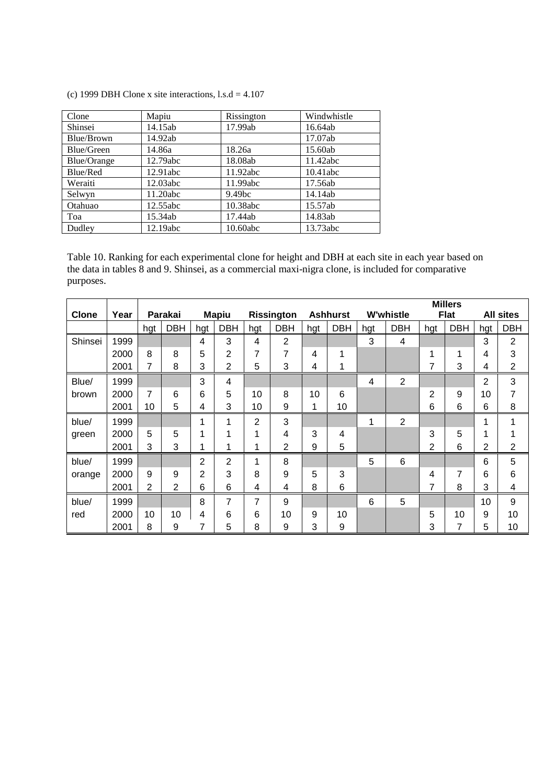|  |  |  | (c) 1999 DBH Clone x site interactions, $1$ .s.d = 4.107 |
|--|--|--|----------------------------------------------------------|
|  |  |  |                                                          |

| Clone              | Mapiu    | Rissington         | Windwhistle |
|--------------------|----------|--------------------|-------------|
| Shinsei            | 14.15ab  | 17.99ab            | 16.64ab     |
| Blue/Brown         | 14.92ab  |                    | 17.07ab     |
| Blue/Green         | 14.86a   | 18.26a             | 15.60ab     |
| <b>Blue/Orange</b> | 12.79abc | 18.08ab            | 11.42abc    |
| Blue/Red           | 12.91abc | 11.92abc           | 10.41abc    |
| Weraiti            | 12.03abc | 11.99abc           | 17.56ab     |
| Selwyn             | 11.20abc | 9.49 <sub>bc</sub> | 14.14ab     |
| Otahuao            | 12.55abc | 10.38abc           | 15.57ab     |
| Toa                | 15.34ab  | 17.44ab            | 14.83ab     |
| Dudley             | 12.19abc | 10.60abc           | 13.73abc    |

Table 10. Ranking for each experimental clone for height and DBH at each site in each year based on the data in tables 8 and 9. Shinsei, as a commercial maxi-nigra clone, is included for comparative purposes.

|              |      |     |            |     |                |             |                   |     |                 |                |                  |     | <b>Millers</b> |                |                  |
|--------------|------|-----|------------|-----|----------------|-------------|-------------------|-----|-----------------|----------------|------------------|-----|----------------|----------------|------------------|
| <b>Clone</b> | Year |     | Parakai    |     | <b>Mapiu</b>   |             | <b>Rissington</b> |     | <b>Ashhurst</b> |                | <b>W'whistle</b> |     | <b>Flat</b>    |                | <b>All sites</b> |
|              |      | hgt | <b>DBH</b> | hgt | <b>DBH</b>     | hgt         | <b>DBH</b>        | hgt | <b>DBH</b>      | hgt            | <b>DBH</b>       | hgt | <b>DBH</b>     | hgt            | <b>DBH</b>       |
| Shinsei      | 1999 |     |            | 4   | 3              | 4           | $\overline{2}$    |     |                 | 3              | $\overline{4}$   |     |                | 3              | 2                |
|              | 2000 | 8   | 8          | 5   | 2              | 7           | 7                 | 4   | 1               |                |                  | 1   | 1              | 4              | 3                |
|              | 2001 | 7   | 8          | 3   | $\overline{2}$ | 5           | 3                 | 4   | 1               |                |                  |     | 3              | 4              | 2                |
| Blue/        | 1999 |     |            | 3   | 4              |             |                   |     |                 | $\overline{4}$ | $\overline{2}$   |     |                | $\overline{2}$ | 3                |
| brown        | 2000 | 7   | 6          | 6   | 5              | 10          | 8                 | 10  | 6               |                |                  | 2   | 9              | 10             | 7                |
|              | 2001 | 10  | 5          | 4   | 3              | 10          | 9                 | 1   | 10              |                |                  | 6   | 6              | 6              | 8                |
| blue/        | 1999 |     |            |     | 1              | 2           | 3                 |     |                 | 1              | $\overline{2}$   |     |                | 1              | 1                |
| green        | 2000 | 5   | 5          |     | 1              | 1           | 4                 | 3   | 4               |                |                  | 3   | 5              | 1              |                  |
|              | 2001 | 3   | 3          |     | 1              | $\mathbf 1$ | $\overline{2}$    | 9   | 5               |                |                  | 2   | 6              | 2              | 2                |
| blue/        | 1999 |     |            | 2   | 2              | 1           | 8                 |     |                 | 5              | $6\phantom{1}6$  |     |                | 6              | 5                |
| orange       | 2000 | 9   | 9          | 2   | 3              | 8           | 9                 | 5   | 3               |                |                  | 4   | 7              | 6              | 6                |
|              | 2001 | 2   | 2          | 6   | 6              | 4           | 4                 | 8   | 6               |                |                  | 7   | 8              | 3              | 4                |
| blue/        | 1999 |     |            | 8   | 7              | 7           | 9                 |     |                 | 6              | 5                |     |                | 10             | 9                |
| red          | 2000 | 10  | 10         | 4   | 6              | 6           | 10                | 9   | 10              |                |                  | 5   | 10             | 9              | 10               |
|              | 2001 | 8   | 9          | 7   | 5              | 8           | 9                 | 3   | 9               |                |                  | 3   | 7              | 5              | 10               |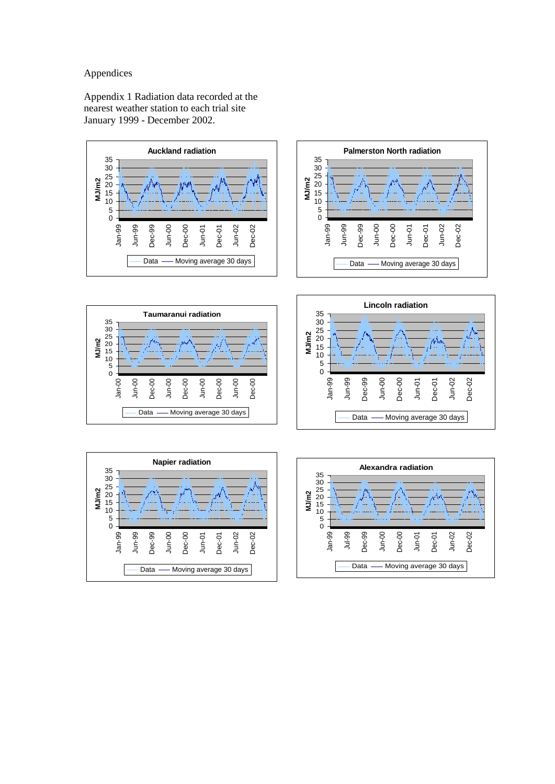# Appendices

Appendix 1 Radiation data recorded at the nearest weather station to each trial site January 1999 - December 2002.











Jun-01 Dec-01 Jun-02 Dec-02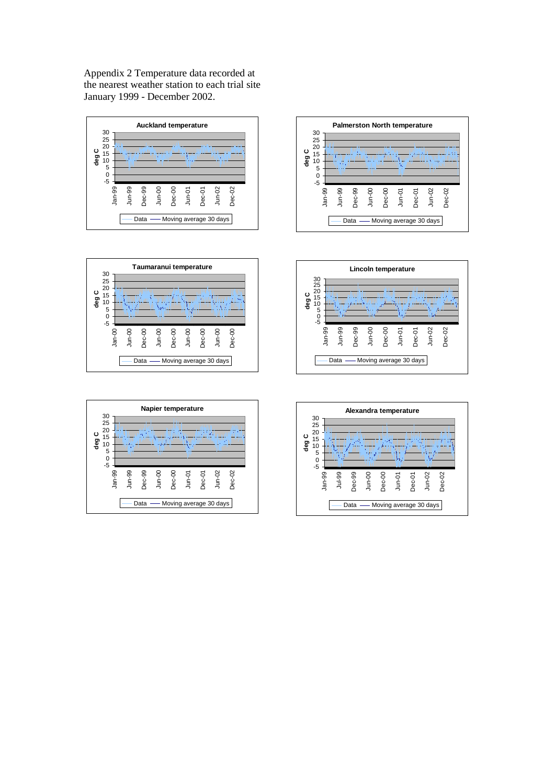Appendix 2 Temperature data recorded at the nearest weather station to each trial site January 1999 - December 2002.